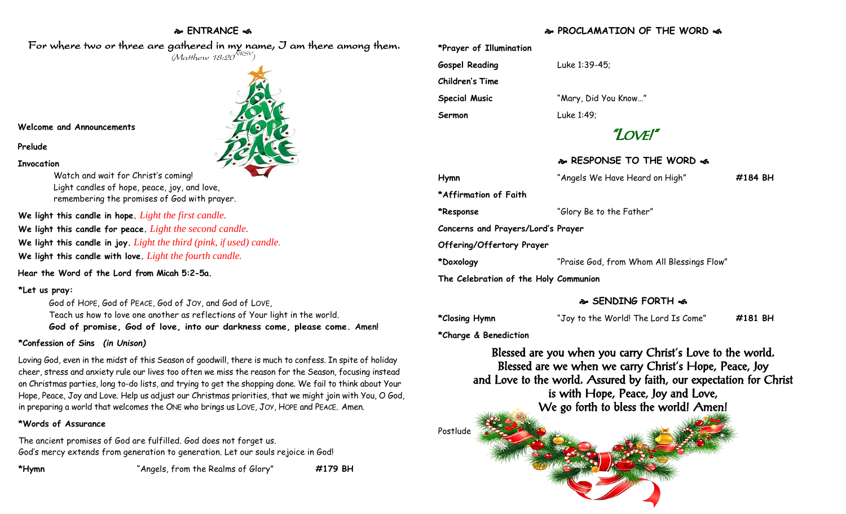## **ENTRANCE**

### For where two or three are gathered in my name, I am there among them.  $(M$ atthew 18:20 $^{NRSV})$

#### **Welcome and Announcements**

#### **Prelude**

#### **Invocation**

Watch and wait for Christ's coming! Light candles of hope, peace, joy, and love, remembering the promises of God with prayer.

**We light this candle in hope.** *Light the first candle.*  **We light this candle for peace.** *Light the second candle.*  **We light this candle in joy.** *Light the third (pink, if used) candle.* **We light this candle with love.** *Light the fourth candle.*

**Hear the Word of the Lord from Micah 5:2-5a.**

#### **\*Let us pray:**

God of HOPE, God of PEACE, God of JOY, and God of LOVE, Teach us how to love one another as reflections of Your light in the world. **God of promise, God of love, into our darkness come, please come. Amen!**

#### **\*Confession of Sins** *(in Unison)*

Loving God, even in the midst of this Season of goodwill, there is much to confess. In spite of holiday cheer, stress and anxiety rule our lives too often we miss the reason for the Season, focusing instead on Christmas parties, long to-do lists, and trying to get the shopping done. We fail to think about Your Hope, Peace, Joy and Love. Help us adjust our Christmas priorities, that we might join with You, O God, in preparing a world that welcomes the ONE who brings us LOVE, JOY, HOPE and PEACE. Amen.

#### **\*Words of Assurance**

The ancient promises of God are fulfilled. God does not forget us. God's mercy extends from generation to generation. Let our souls rejoice in God!

**\*Hymn** "Angels, from the Realms of Glory" **#179 BH**

**PROCLAMATION OF THE WORD** 

| *Prayer of Illumination               |                                            |         |
|---------------------------------------|--------------------------------------------|---------|
| <b>Gospel Reading</b>                 | Luke 1:39-45;                              |         |
| <b>Children's Time</b>                |                                            |         |
| <b>Special Music</b>                  | "Mary, Did You Know"                       |         |
| Sermon                                | Luke 1:49;                                 |         |
| "LOVE!"                               |                                            |         |
|                                       | & RESPONSE TO THE WORD &                   |         |
| Hymn                                  | "Angels We Have Heard on High"             | #184 BH |
| *Affirmation of Faith                 |                                            |         |
| *Response                             | "Glory Be to the Father"                   |         |
| Concerns and Prayers/Lord's Prayer    |                                            |         |
| Offering/Offertory Prayer             |                                            |         |
| *Doxology                             | "Praise God, from Whom All Blessings Flow" |         |
| The Celebration of the Holy Communion |                                            |         |

### **SENDING FORTH**

**\*Closing Hymn** "Joy to the World! The Lord Is Come" **#181 BH**

**\*Charge & Benediction**

Blessed are you when you carry Christ's Love to the world. Blessed are we when we carry Christ's Hope, Peace, Joy and Love to the world. Assured by faith, our expectation for Christ is with Hope, Peace, Joy and Love, We go forth to bless the world! Amen!